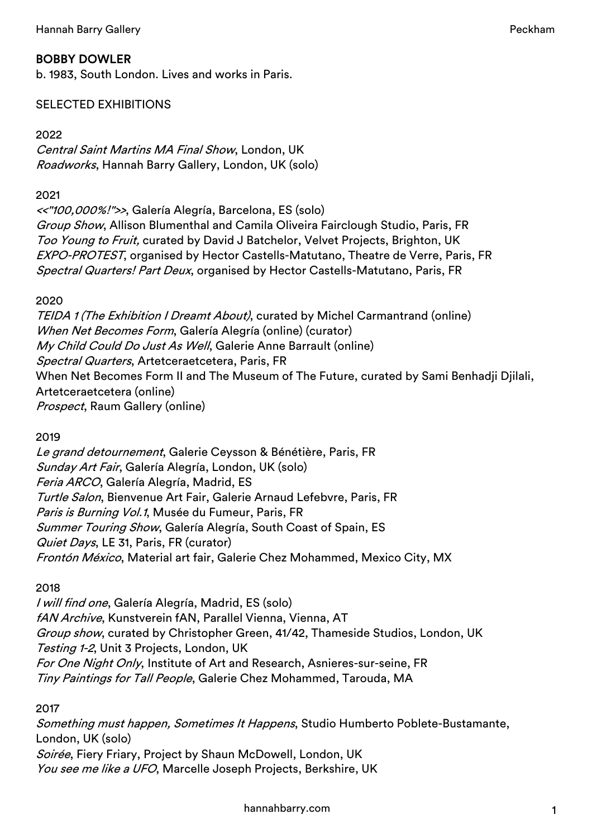# BOBBY DOWLER

b. 1983, South London. Lives and works in Paris.

# SELECTED EXHIBITIONS

# 2022

Central Saint Martins MA Final Show, London, UK Roadworks, Hannah Barry Gallery, London, UK (solo)

#### 2021

<<"100,000%!">>, Galería Alegría, Barcelona, ES (solo) Group Show, Allison Blumenthal and Camila Oliveira Fairclough Studio, Paris, FR Too Young to Fruit, curated by David J Batchelor, Velvet Projects, Brighton, UK EXPO-PROTEST, organised by Hector Castells-Matutano, Theatre de Verre, Paris, FR Spectral Quarters! Part Deux, organised by Hector Castells-Matutano, Paris, FR

2020

TEIDA 1 (The Exhibition I Dreamt About), curated by Michel Carmantrand (online) When Net Becomes Form, Galería Alegría (online) (curator) My Child Could Do Just As Well, Galerie Anne Barrault (online) Spectral Quarters, Artetceraetcetera, Paris, FR When Net Becomes Form II and The Museum of The Future, curated by Sami Benhadji Djilali, Artetceraetcetera (online) Prospect, Raum Gallery (online)

2019

Le grand detournement, Galerie Ceysson & Bénétière, Paris, FR Sunday Art Fair, Galería Alegría, London, UK (solo) Feria ARCO, Galería Alegría, Madrid, ES Turtle Salon, Bienvenue Art Fair, Galerie Arnaud Lefebvre, Paris, FR Paris is Burning Vol.1, Musée du Fumeur, Paris, FR Summer Touring Show, Galería Alegría, South Coast of Spain, ES Quiet Days, LE 31, Paris, FR (curator) Frontón México, Material art fair, Galerie Chez Mohammed, Mexico City, MX

### 2018

I will find one, Galería Alegría, Madrid, ES (solo) fAN Archive, Kunstverein fAN, Parallel Vienna, Vienna, AT Group show, curated by Christopher Green, 41/42, Thameside Studios, London, UK Testing 1-2, Unit 3 Projects, London, UK For One Night Only, Institute of Art and Research, Asnieres-sur-seine, FR Tiny Paintings for Tall People, Galerie Chez Mohammed, Tarouda, MA

2017

Something must happen, Sometimes It Happens, Studio Humberto Poblete-Bustamante, London, UK (solo) Soirée, Fiery Friary, Project by Shaun McDowell, London, UK You see me like a UFO, Marcelle Joseph Projects, Berkshire, UK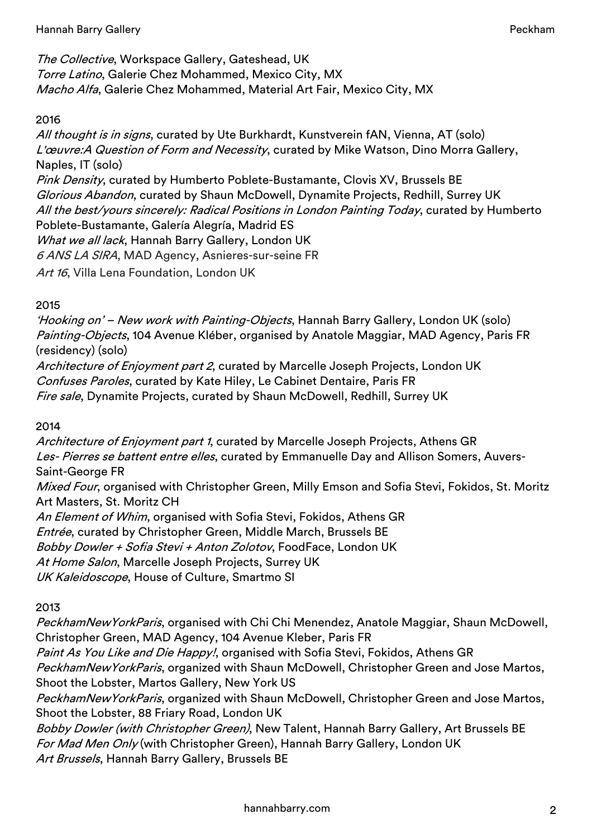The Collective, Workspace Gallery, Gateshead, UK Torre Latino, Galerie Chez Mohammed, Mexico City, MX Macho Alfa, Galerie Chez Mohammed, Material Art Fair, Mexico City, MX

# 2016

All thought is in signs, curated by Ute Burkhardt, Kunstverein fAN, Vienna, AT (solo) L'œuvre:A Question of Form and Necessity, curated by Mike Watson, Dino Morra Gallery, Naples, IT (solo) Pink Density, curated by Humberto Poblete-Bustamante, Clovis XV, Brussels BE Glorious Abandon, curated by Shaun McDowell, Dynamite Projects, Redhill, Surrey UK All the best/yours sincerely: Radical Positions in London Painting Today, curated by Humberto Poblete-Bustamante, Galería Alegría, Madrid ES What we all lack, Hannah Barry Gallery, London UK 6 ANS LA SIRA, MAD Agency, Asnieres-sur-seine FR Art 16, Villa Lena Foundation, London UK

2015

'Hooking on' – New work with Painting-Objects, Hannah Barry Gallery, London UK (solo) Painting-Objects, 104 Avenue Kléber, organised by Anatole Maggiar, MAD Agency, Paris FR (residency) (solo)

Architecture of Enjoyment part 2, curated by Marcelle Joseph Projects, London UK Confuses Paroles, curated by Kate Hiley, Le Cabinet Dentaire, Paris FR Fire sale, Dynamite Projects, curated by Shaun McDowell, Redhill, Surrey UK

2014

Architecture of Enjoyment part 1, curated by Marcelle Joseph Projects, Athens GR Les- Pierres se battent entre elles, curated by Emmanuelle Day and Allison Somers, Auvers-Saint-George FR

Mixed Four, organised with Christopher Green, Milly Emson and Sofia Stevi, Fokidos, St. Moritz Art Masters, St. Moritz CH

An Element of Whim, organised with Sofia Stevi, Fokidos, Athens GR

Entrée, curated by Christopher Green, Middle March, Brussels BE

Bobby Dowler + Sofia Stevi + Anton Zolotov, FoodFace, London UK

At Home Salon, Marcelle Joseph Projects, Surrey UK

UK Kaleidoscope, House of Culture, Smartmo SI

2013

PeckhamNewYorkParis, organised with Chi Chi Menendez, Anatole Maggiar, Shaun McDowell, Christopher Green, MAD Agency, 104 Avenue Kleber, Paris FR

Paint As You Like and Die Happy!, organised with Sofia Stevi, Fokidos, Athens GR

PeckhamNewYorkParis, organized with Shaun McDowell, Christopher Green and Jose Martos, Shoot the Lobster, Martos Gallery, New York US

PeckhamNewYorkParis, organized with Shaun McDowell, Christopher Green and Jose Martos, Shoot the Lobster, 88 Friary Road, London UK

Bobby Dowler (with Christopher Green), New Talent, Hannah Barry Gallery, Art Brussels BE For Mad Men Only (with Christopher Green), Hannah Barry Gallery, London UK Art Brussels, Hannah Barry Gallery, Brussels BE